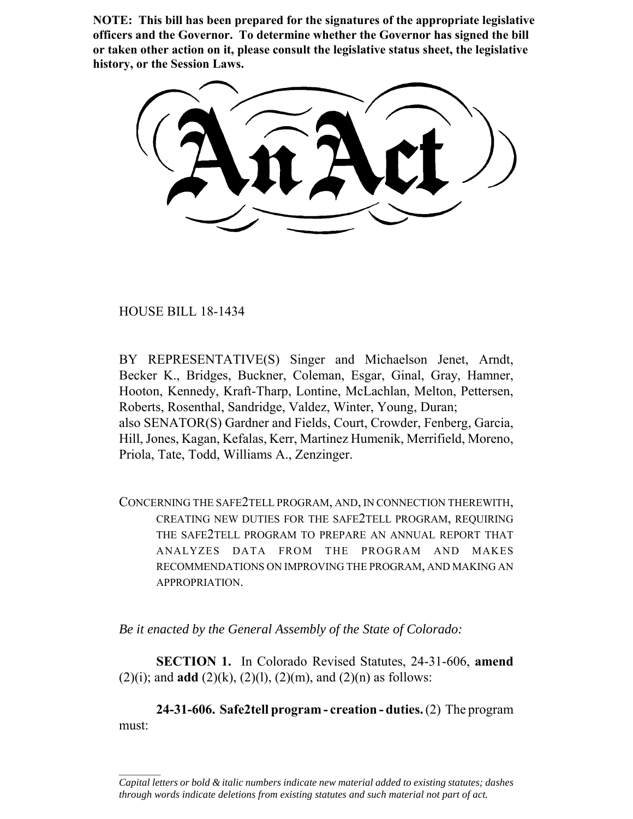**NOTE: This bill has been prepared for the signatures of the appropriate legislative officers and the Governor. To determine whether the Governor has signed the bill or taken other action on it, please consult the legislative status sheet, the legislative history, or the Session Laws.**

HOUSE BILL 18-1434

 $\frac{1}{2}$ 

BY REPRESENTATIVE(S) Singer and Michaelson Jenet, Arndt, Becker K., Bridges, Buckner, Coleman, Esgar, Ginal, Gray, Hamner, Hooton, Kennedy, Kraft-Tharp, Lontine, McLachlan, Melton, Pettersen, Roberts, Rosenthal, Sandridge, Valdez, Winter, Young, Duran; also SENATOR(S) Gardner and Fields, Court, Crowder, Fenberg, Garcia, Hill, Jones, Kagan, Kefalas, Kerr, Martinez Humenik, Merrifield, Moreno, Priola, Tate, Todd, Williams A., Zenzinger.

CONCERNING THE SAFE2TELL PROGRAM, AND, IN CONNECTION THEREWITH, CREATING NEW DUTIES FOR THE SAFE2TELL PROGRAM, REQUIRING THE SAFE2TELL PROGRAM TO PREPARE AN ANNUAL REPORT THAT ANALYZES DATA FROM THE PROGRAM AND MAKES RECOMMENDATIONS ON IMPROVING THE PROGRAM, AND MAKING AN APPROPRIATION.

*Be it enacted by the General Assembly of the State of Colorado:*

**SECTION 1.** In Colorado Revised Statutes, 24-31-606, **amend** (2)(i); and **add** (2)(k), (2)(l), (2)(m), and (2)(n) as follows:

**24-31-606. Safe2tell program - creation - duties.** (2) The program must:

*Capital letters or bold & italic numbers indicate new material added to existing statutes; dashes through words indicate deletions from existing statutes and such material not part of act.*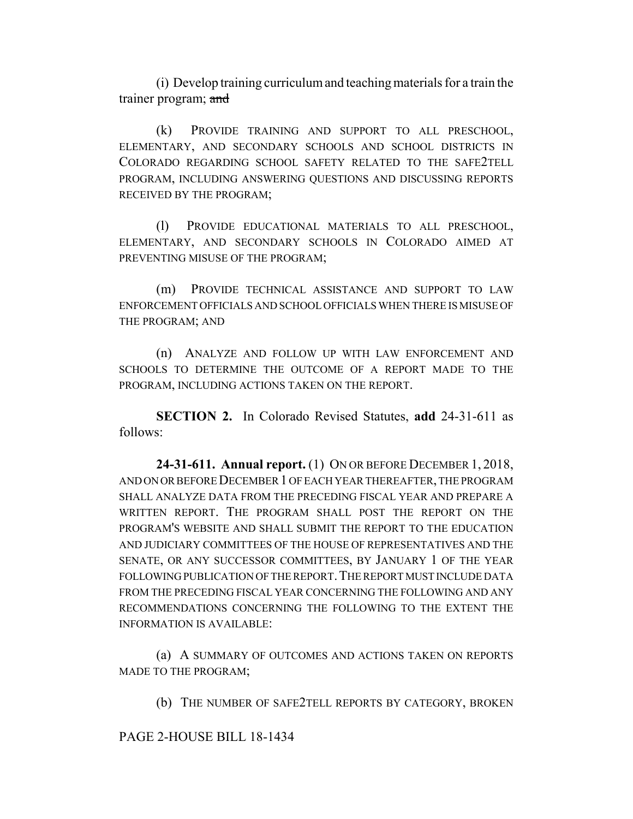(i) Develop training curriculum and teaching materials for a train the trainer program; and

(k) PROVIDE TRAINING AND SUPPORT TO ALL PRESCHOOL, ELEMENTARY, AND SECONDARY SCHOOLS AND SCHOOL DISTRICTS IN COLORADO REGARDING SCHOOL SAFETY RELATED TO THE SAFE2TELL PROGRAM, INCLUDING ANSWERING QUESTIONS AND DISCUSSING REPORTS RECEIVED BY THE PROGRAM;

(l) PROVIDE EDUCATIONAL MATERIALS TO ALL PRESCHOOL, ELEMENTARY, AND SECONDARY SCHOOLS IN COLORADO AIMED AT PREVENTING MISUSE OF THE PROGRAM;

(m) PROVIDE TECHNICAL ASSISTANCE AND SUPPORT TO LAW ENFORCEMENT OFFICIALS AND SCHOOL OFFICIALS WHEN THERE IS MISUSE OF THE PROGRAM; AND

(n) ANALYZE AND FOLLOW UP WITH LAW ENFORCEMENT AND SCHOOLS TO DETERMINE THE OUTCOME OF A REPORT MADE TO THE PROGRAM, INCLUDING ACTIONS TAKEN ON THE REPORT.

**SECTION 2.** In Colorado Revised Statutes, **add** 24-31-611 as follows:

**24-31-611. Annual report.** (1) ON OR BEFORE DECEMBER 1, 2018, AND ON OR BEFORE DECEMBER 1 OF EACH YEAR THEREAFTER, THE PROGRAM SHALL ANALYZE DATA FROM THE PRECEDING FISCAL YEAR AND PREPARE A WRITTEN REPORT. THE PROGRAM SHALL POST THE REPORT ON THE PROGRAM'S WEBSITE AND SHALL SUBMIT THE REPORT TO THE EDUCATION AND JUDICIARY COMMITTEES OF THE HOUSE OF REPRESENTATIVES AND THE SENATE, OR ANY SUCCESSOR COMMITTEES, BY JANUARY 1 OF THE YEAR FOLLOWING PUBLICATION OF THE REPORT.THE REPORT MUST INCLUDE DATA FROM THE PRECEDING FISCAL YEAR CONCERNING THE FOLLOWING AND ANY RECOMMENDATIONS CONCERNING THE FOLLOWING TO THE EXTENT THE INFORMATION IS AVAILABLE:

(a) A SUMMARY OF OUTCOMES AND ACTIONS TAKEN ON REPORTS MADE TO THE PROGRAM;

(b) THE NUMBER OF SAFE2TELL REPORTS BY CATEGORY, BROKEN

PAGE 2-HOUSE BILL 18-1434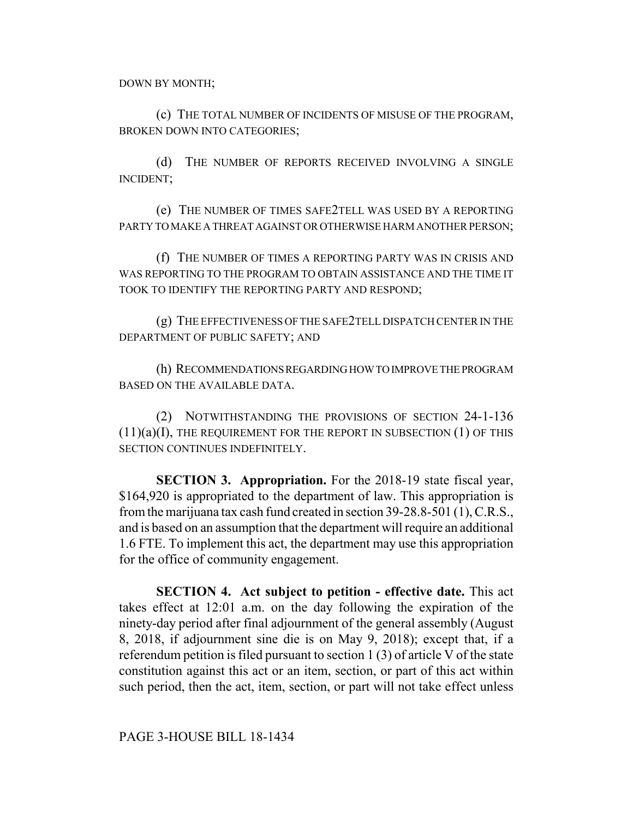DOWN BY MONTH;

(c) THE TOTAL NUMBER OF INCIDENTS OF MISUSE OF THE PROGRAM, BROKEN DOWN INTO CATEGORIES;

(d) THE NUMBER OF REPORTS RECEIVED INVOLVING A SINGLE INCIDENT;

(e) THE NUMBER OF TIMES SAFE2TELL WAS USED BY A REPORTING PARTY TO MAKE A THREAT AGAINST OR OTHERWISE HARM ANOTHER PERSON;

(f) THE NUMBER OF TIMES A REPORTING PARTY WAS IN CRISIS AND WAS REPORTING TO THE PROGRAM TO OBTAIN ASSISTANCE AND THE TIME IT TOOK TO IDENTIFY THE REPORTING PARTY AND RESPOND;

(g) THE EFFECTIVENESS OF THE SAFE2TELL DISPATCH CENTER IN THE DEPARTMENT OF PUBLIC SAFETY; AND

(h) RECOMMENDATIONS REGARDING HOW TO IMPROVE THE PROGRAM BASED ON THE AVAILABLE DATA.

(2) NOTWITHSTANDING THE PROVISIONS OF SECTION 24-1-136  $(11)(a)(I)$ , THE REQUIREMENT FOR THE REPORT IN SUBSECTION  $(1)$  OF THIS SECTION CONTINUES INDEFINITELY.

**SECTION 3. Appropriation.** For the 2018-19 state fiscal year, \$164,920 is appropriated to the department of law. This appropriation is from the marijuana tax cash fund created in section 39-28.8-501 (1), C.R.S., and is based on an assumption that the department will require an additional 1.6 FTE. To implement this act, the department may use this appropriation for the office of community engagement.

**SECTION 4. Act subject to petition - effective date.** This act takes effect at 12:01 a.m. on the day following the expiration of the ninety-day period after final adjournment of the general assembly (August 8, 2018, if adjournment sine die is on May 9, 2018); except that, if a referendum petition is filed pursuant to section 1 (3) of article V of the state constitution against this act or an item, section, or part of this act within such period, then the act, item, section, or part will not take effect unless

PAGE 3-HOUSE BILL 18-1434